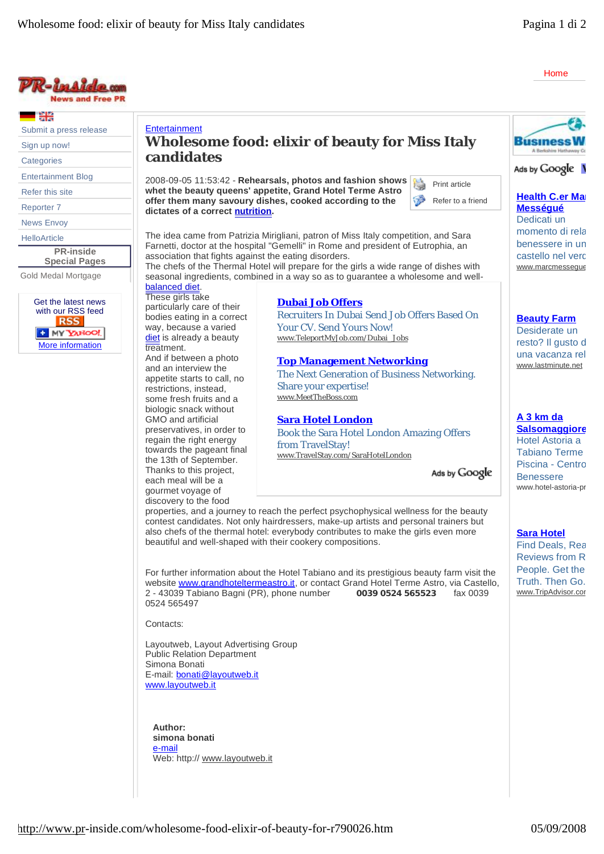